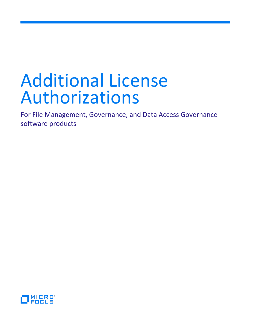# Additional License Authorizations

For File Management, Governance, and Data Access Governance software products

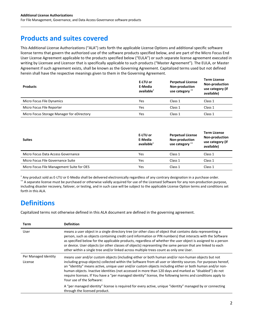## **Products and suites covered**

This Additional License Authorizations ("ALA") sets forth the applicable License Options and additional specific software license terms that govern the authorized use of the software products specified below, and are part of the Micro Focus End User License Agreement applicable to the products specified below ("EULA") or such separate license agreement executed in writing by Licensee and Licensor that is specifically applicable to such products ("Master Agreement"). The EULA, or Master Agreement if such agreement exists, shall be known as the Governing Agreement. Capitalized terms used but not defined herein shall have the respective meanings given to them in the Governing Agreement.

| <b>Products</b>                            | E-LTU or<br>E-Media<br>available <sup>*</sup> | <b>Perpetual License</b><br>Non-production<br>use category ** | <b>Term License</b><br><b>Non-production</b><br>use category (if<br>available) |
|--------------------------------------------|-----------------------------------------------|---------------------------------------------------------------|--------------------------------------------------------------------------------|
| Micro Focus File Dynamics                  | Yes                                           | Class 1                                                       | Class 1                                                                        |
| Micro Focus File Reporter                  | Yes                                           | Class 1                                                       | Class 1                                                                        |
| Micro Focus Storage Manager for eDirectory | Yes                                           | Class 1                                                       | Class 1                                                                        |

| <b>Suites</b>                             | E-LTU or<br>E-Media<br>available* | <b>Perpetual License</b><br>Non-production<br>use category ** | <b>Term License</b><br>Non-production<br>use category (if<br>available) |
|-------------------------------------------|-----------------------------------|---------------------------------------------------------------|-------------------------------------------------------------------------|
| Micro Focus Data Access Governance        | Yes                               | Class 1                                                       | Class 1                                                                 |
| Micro Focus File Governance Suite         | Yes                               | Class 1                                                       | Class 1                                                                 |
| Micro Focus File Management Suite for OES | Yes                               | Class 1                                                       | Class 1                                                                 |

\* Any product sold as E-LTU or E-Media shall be delivered electronically regardless of any contrary designation in a purchase order. \*\* A separate license must be purchased or otherwise validly acquired for use of the Licensed Software for any non-production purpose, including disaster recovery, failover, or testing, and in such case will be subject to the applicable License Option terms and conditions set forth in this ALA.

## **Definitions**

Capitalized terms not otherwise defined in this ALA document are defined in the governing agreement.

| Term                 | <b>Definition</b>                                                                                                                                                                                                                                                                                                                                                                                                                                                                                                                                  |
|----------------------|----------------------------------------------------------------------------------------------------------------------------------------------------------------------------------------------------------------------------------------------------------------------------------------------------------------------------------------------------------------------------------------------------------------------------------------------------------------------------------------------------------------------------------------------------|
| User                 | means a user object in a single directory tree (or other class of object that contains data representing a<br>person, such as objects containing credit card information or PIN numbers) that interacts with the Software<br>as specified below for the applicable products, regardless of whether the user object is assigned to a person<br>or device. User objects (or other classes of objects) representing the same person that are linked to each<br>other within a single tree and/or linked across multiple trees count as only one User. |
| Per Managed Identity | means user and/or custom objects (including either or both human and/or non-human objects but not                                                                                                                                                                                                                                                                                                                                                                                                                                                  |
| License              | including group objects) collected within the Software from all user or identity sources. For purposes hereof,<br>an "identity" means active, unique user and/or custom objects including either or both human and/or non-<br>human objects. Inactive identities (not accessed in more than 120 days and marked as "disabled") do not<br>require licenses. If You have a "per managed identity" license, the following terms and conditions apply to<br>Your use of the Software:                                                                  |
|                      | A "per managed identity" license is required for every active, unique "identity" managed by or connecting<br>through the licensed product.                                                                                                                                                                                                                                                                                                                                                                                                         |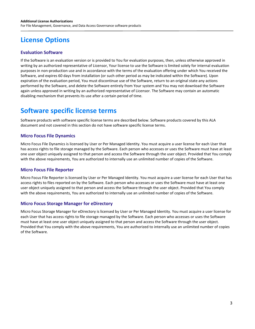## **License Options**

### **Evaluation Software**

If the Software is an evaluation version or is provided to You for evaluation purposes, then, unless otherwise approved in writing by an authorized representative of Licensor, Your license to use the Software is limited solely for internal evaluation purposes in non-production use and in accordance with the terms of the evaluation offering under which You received the Software, and expires 60 days from installation (or such other period as may be indicated within the Software). Upon expiration of the evaluation period, You must discontinue use of the Software, return to an original state any actions performed by the Software, and delete the Software entirely from Your system and You may not download the Software again unless approved in writing by an authorized representative of Licensor. The Software may contain an automatic disabling mechanism that prevents its use after a certain period of time.

## **Software specific license terms**

Software products with software specific license terms are described below. Software products covered by this ALA document and not covered in this section do not have software specific license terms.

#### **Micro Focus File Dynamics**

Micro Focus File Dynamics is licensed by User or Per Managed Identity. You must acquire a user license for each User that has access rights to file storage managed by the Software. Each person who accesses or uses the Software must have at least one user object uniquely assigned to that person and access the Software through the user object. Provided that You comply with the above requirements, You are authorized to internally use an unlimited number of copies of the Software.

#### **Micro Focus File Reporter**

Micro Focus File Reporter is licensed by User or Per Managed Identity. You must acquire a user license for each User that has access rights to files reported on by the Software. Each person who accesses or uses the Software must have at least one user object uniquely assigned to that person and access the Software through the user object. Provided that You comply with the above requirements, You are authorized to internally use an unlimited number of copies of the Software.

#### **Micro Focus Storage Manager for eDirectory**

Micro Focus Storage Manager for eDirectory is licensed by User or Per Managed Identity. You must acquire a user license for each User that has access rights to file storage managed by the Software. Each person who accesses or uses the Software must have at least one user object uniquely assigned to that person and access the Software through the user object. Provided that You comply with the above requirements, You are authorized to internally use an unlimited number of copies of the Software.